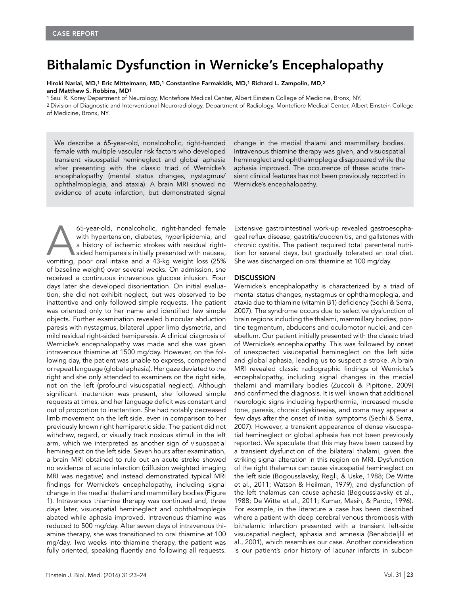## Bithalamic Dysfunction in Wernicke's Encephalopathy

Hiroki Nariai, MD,1 Eric Mittelmann, MD,1 Constantine Farmakidis, MD,1 Richard L. Zampolin, MD,2 and Matthew S. Robbins, MD1

1 Saul R. Korey Department of Neurology, Montefiore Medical Center, Albert Einstein College of Medicine, Bronx, NY. 2 Division of Diagnostic and Interventional Neuroradiology, Department of Radiology, Montefiore Medical Center, Albert Einstein College of Medicine, Bronx, NY.

We describe a 65-year-old, nonalcoholic, right-handed female with multiple vascular risk factors who developed transient visuospatial hemineglect and global aphasia after presenting with the classic triad of Wernicke's encephalopathy (mental status changes, nystagmus/ ophthalmoplegia, and ataxia). A brain MRI showed no evidence of acute infarction, but demonstrated signal

change in the medial thalami and mammillary bodies. Intravenous thiamine therapy was given, and visuospatial hemineglect and ophthalmoplegia disappeared while the aphasia improved. The occurrence of these acute transient clinical features has not been previously reported in Wernicke's encephalopathy.

65-year-old, nonalcoholic, right-handed female with hypertension, diabetes, hyperlipidemia, and a history of ischemic strokes with residual right-sided hemiparesis initially presented with nausea, vomiting, poor oral intak with hypertension, diabetes, hyperlipidemia, and a history of ischemic strokes with residual rightsided hemiparesis initially presented with nausea, of baseline weight) over several weeks. On admission, she received a continuous intravenous glucose infusion. Four days later she developed disorientation. On initial evaluation, she did not exhibit neglect, but was observed to be inattentive and only followed simple requests. The patient was oriented only to her name and identified few simple objects. Further examination revealed binocular abduction paresis with nystagmus, bilateral upper limb dysmetria, and mild residual right-sided hemiparesis. A clinical diagnosis of Wernicke's encephalopathy was made and she was given intravenous thiamine at 1500 mg/day. However, on the following day, the patient was unable to express, comprehend or repeat language (global aphasia). Her gaze deviated to the right and she only attended to examiners on the right side, not on the left (profound visuospatial neglect). Although significant inattention was present, she followed simple requests at times, and her language deficit was constant and out of proportion to inattention. She had notably decreased limb movement on the left side, even in comparison to her previously known right hemiparetic side. The patient did not withdraw, regard, or visually track noxious stimuli in the left arm, which we interpreted as another sign of visuospatial hemineglect on the left side. Seven hours after examination, a brain MRI obtained to rule out an acute stroke showed no evidence of acute infarction (diffusion weighted imaging MRI was negative) and instead demonstrated typical MRI findings for Wernicke's encephalopathy, including signal change in the medial thalami and mammillary bodies (Figure 1). Intravenous thiamine therapy was continued and, three days later, visuospatial hemineglect and ophthalmoplegia abated while aphasia improved. Intravenous thiamine was reduced to 500 mg/day. After seven days of intravenous thiamine therapy, she was transitioned to oral thiamine at 100 mg/day. Two weeks into thiamine therapy, the patient was fully oriented, speaking fluently and following all requests.

Extensive gastrointestinal work-up revealed gastroesophageal reflux disease, gastritis/duodenitis, and gallstones with chronic cystitis. The patient required total parenteral nutrition for several days, but gradually tolerated an oral diet. She was discharged on oral thiamine at 100 mg/day.

## **DISCUSSION**

Wernicke's encephalopathy is characterized by a triad of mental status changes, nystagmus or ophthalmoplegia, and ataxia due to thiamine (vitamin B1) deficiency (Sechi & Serra, 2007). The syndrome occurs due to selective dysfunction of brain regions including the thalami, mammillary bodies, pontine tegmentum, abducens and oculomotor nuclei, and cerebellum. Our patient initially presented with the classic triad of Wernicke's encephalopathy. This was followed by onset of unexpected visuospatial hemineglect on the left side and global aphasia, leading us to suspect a stroke. A brain MRI revealed classic radiographic findings of Wernicke's encephalopathy, including signal changes in the medial thalami and mamillary bodies (Zuccoli & Pipitone, 2009) and confirmed the diagnosis. It is well known that additional neurologic signs including hyperthermia, increased muscle tone, paresis, choreic dyskinesias, and coma may appear a few days after the onset of initial symptoms (Sechi & Serra, 2007). However, a transient appearance of dense visuospatial hemineglect or global aphasia has not been previously reported. We speculate that this may have been caused by a transient dysfunction of the bilateral thalami, given the striking signal alteration in this region on MRI. Dysfunction of the right thalamus can cause visuospatial hemineglect on the left side (Bogousslavsky, Regli, & Uske, 1988; De Witte et al., 2011; Watson & Heilman, 1979), and dysfunction of the left thalamus can cause aphasia (Bogousslavsky et al., 1988; De Witte et al., 2011; Kumar, Masih, & Pardo, 1996). For example, in the literature a case has been described where a patient with deep cerebral venous thrombosis with bithalamic infarction presented with a transient left-side visuospatial neglect, aphasia and amnesia (Benabdeljlil et al., 2001), which resembles our case. Another consideration is our patient's prior history of lacunar infarcts in subcor-